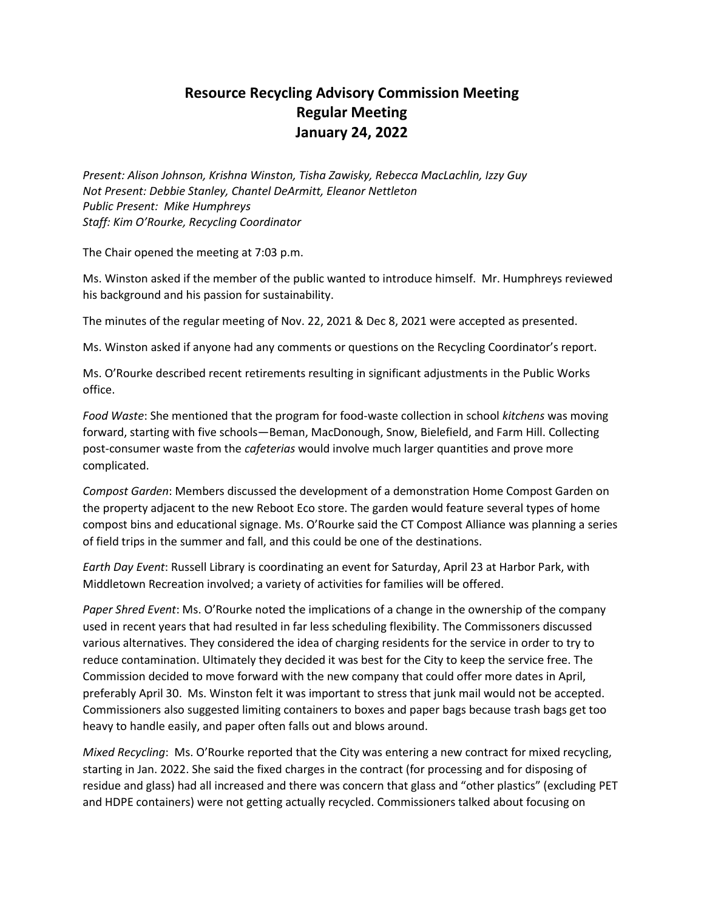## **Resource Recycling Advisory Commission Meeting Regular Meeting January 24, 2022**

*Present: Alison Johnson, Krishna Winston, Tisha Zawisky, Rebecca MacLachlin, Izzy Guy Not Present: Debbie Stanley, Chantel DeArmitt, Eleanor Nettleton Public Present: Mike Humphreys Staff: Kim O'Rourke, Recycling Coordinator* 

The Chair opened the meeting at 7:03 p.m.

Ms. Winston asked if the member of the public wanted to introduce himself. Mr. Humphreys reviewed his background and his passion for sustainability.

The minutes of the regular meeting of Nov. 22, 2021 & Dec 8, 2021 were accepted as presented.

Ms. Winston asked if anyone had any comments or questions on the Recycling Coordinator's report.

Ms. O'Rourke described recent retirements resulting in significant adjustments in the Public Works office.

*Food Waste*: She mentioned that the program for food-waste collection in school *kitchens* was moving forward, starting with five schools—Beman, MacDonough, Snow, Bielefield, and Farm Hill. Collecting post-consumer waste from the *cafeterias* would involve much larger quantities and prove more complicated.

*Compost Garden*: Members discussed the development of a demonstration Home Compost Garden on the property adjacent to the new Reboot Eco store. The garden would feature several types of home compost bins and educational signage. Ms. O'Rourke said the CT Compost Alliance was planning a series of field trips in the summer and fall, and this could be one of the destinations.

*Earth Day Event*: Russell Library is coordinating an event for Saturday, April 23 at Harbor Park, with Middletown Recreation involved; a variety of activities for families will be offered.

*Paper Shred Event*: Ms. O'Rourke noted the implications of a change in the ownership of the company used in recent years that had resulted in far less scheduling flexibility. The Commissoners discussed various alternatives. They considered the idea of charging residents for the service in order to try to reduce contamination. Ultimately they decided it was best for the City to keep the service free. The Commission decided to move forward with the new company that could offer more dates in April, preferably April 30. Ms. Winston felt it was important to stress that junk mail would not be accepted. Commissioners also suggested limiting containers to boxes and paper bags because trash bags get too heavy to handle easily, and paper often falls out and blows around.

*Mixed Recycling*: Ms. O'Rourke reported that the City was entering a new contract for mixed recycling, starting in Jan. 2022. She said the fixed charges in the contract (for processing and for disposing of residue and glass) had all increased and there was concern that glass and "other plastics" (excluding PET and HDPE containers) were not getting actually recycled. Commissioners talked about focusing on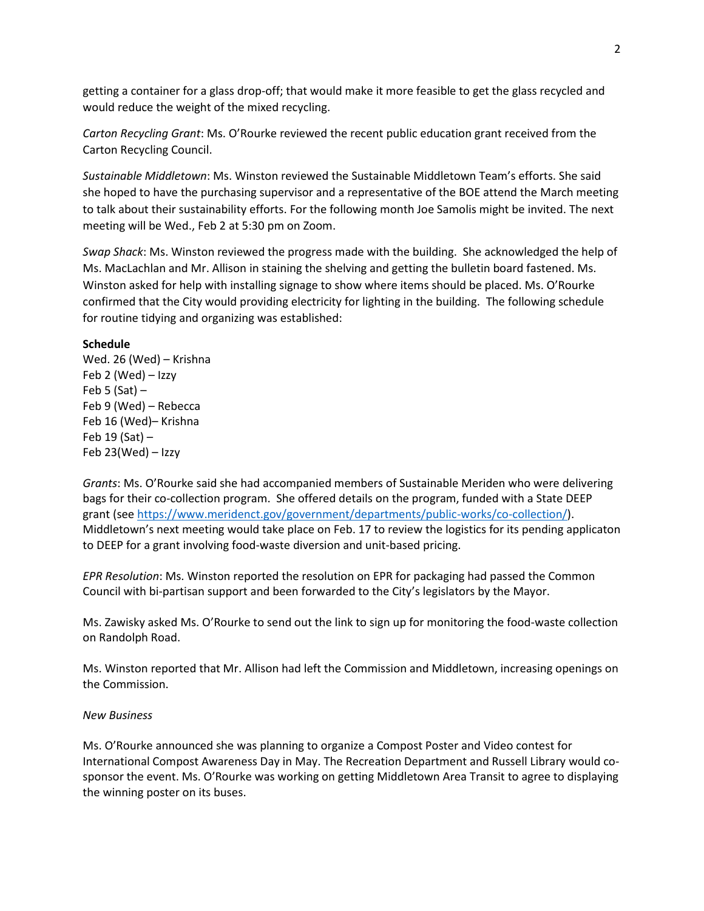getting a container for a glass drop-off; that would make it more feasible to get the glass recycled and would reduce the weight of the mixed recycling.

*Carton Recycling Grant*: Ms. O'Rourke reviewed the recent public education grant received from the Carton Recycling Council.

*Sustainable Middletown*: Ms. Winston reviewed the Sustainable Middletown Team's efforts. She said she hoped to have the purchasing supervisor and a representative of the BOE attend the March meeting to talk about their sustainability efforts. For the following month Joe Samolis might be invited. The next meeting will be Wed., Feb 2 at 5:30 pm on Zoom.

*Swap Shack*: Ms. Winston reviewed the progress made with the building. She acknowledged the help of Ms. MacLachlan and Mr. Allison in staining the shelving and getting the bulletin board fastened. Ms. Winston asked for help with installing signage to show where items should be placed. Ms. O'Rourke confirmed that the City would providing electricity for lighting in the building. The following schedule for routine tidying and organizing was established:

## **Schedule**

Wed. 26 (Wed) – Krishna Feb 2 (Wed) – Izzy Feb 5 (Sat)  $-$ Feb 9 (Wed) – Rebecca Feb 16 (Wed)– Krishna Feb 19 (Sat) – Feb 23(Wed) – Izzy

*Grants*: Ms. O'Rourke said she had accompanied members of Sustainable Meriden who were delivering bags for their co-collection program. She offered details on the program, funded with a State DEEP grant (see [https://www.meridenct.gov/government/departments/public-works/co-collection/\)](https://www.meridenct.gov/government/departments/public-works/co-collection/). Middletown's next meeting would take place on Feb. 17 to review the logistics for its pending applicaton to DEEP for a grant involving food-waste diversion and unit-based pricing.

*EPR Resolution*: Ms. Winston reported the resolution on EPR for packaging had passed the Common Council with bi-partisan support and been forwarded to the City's legislators by the Mayor.

Ms. Zawisky asked Ms. O'Rourke to send out the link to sign up for monitoring the food-waste collection on Randolph Road.

Ms. Winston reported that Mr. Allison had left the Commission and Middletown, increasing openings on the Commission.

## *New Business*

Ms. O'Rourke announced she was planning to organize a Compost Poster and Video contest for International Compost Awareness Day in May. The Recreation Department and Russell Library would cosponsor the event. Ms. O'Rourke was working on getting Middletown Area Transit to agree to displaying the winning poster on its buses.